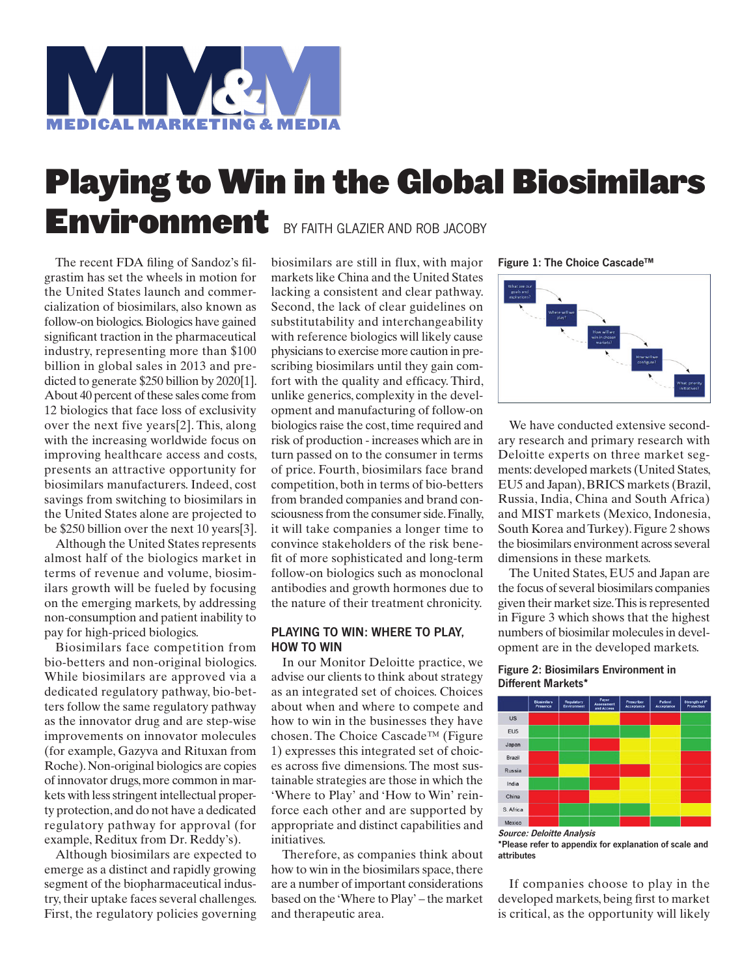

# Playing to Win in the Global Biosimilars Environment BY FAITH GLAZIER AND ROB JACOBY

The recent FDA filing of Sandoz's filgrastim has set the wheels in motion for the United States launch and commercialization of biosimilars, also known as follow-on biologics. Biologics have gained significant traction in the pharmaceutical industry, representing more than \$100 billion in global sales in 2013 and predicted to generate \$250 billion by 2020[1]. About 40 percent of these sales come from 12 biologics that face loss of exclusivity over the next five years[2]. This, along with the increasing worldwide focus on improving healthcare access and costs, presents an attractive opportunity for biosimilars manufacturers. Indeed, cost savings from switching to biosimilars in the United States alone are projected to be \$250 billion over the next 10 years[3].

Although the United States represents almost half of the biologics market in terms of revenue and volume, biosimilars growth will be fueled by focusing on the emerging markets, by addressing non-consumption and patient inability to pay for high-priced biologics.

Biosimilars face competition from bio-betters and non-original biologics. While biosimilars are approved via a dedicated regulatory pathway, bio-betters follow the same regulatory pathway as the innovator drug and are step-wise improvements on innovator molecules (for example, Gazyva and Rituxan from Roche). Non-original biologics are copies of innovator drugs, more common in markets with less stringent intellectual property protection, and do not have a dedicated regulatory pathway for approval (for example, Reditux from Dr. Reddy's).

Although biosimilars are expected to emerge as a distinct and rapidly growing segment of the biopharmaceutical industry, their uptake faces several challenges. First, the regulatory policies governing

biosimilars are still in flux, with major markets like China and the United States lacking a consistent and clear pathway. Second, the lack of clear guidelines on substitutability and interchangeability with reference biologics will likely cause physicians to exercise more caution in prescribing biosimilars until they gain comfort with the quality and efficacy. Third, unlike generics, complexity in the development and manufacturing of follow-on biologics raise the cost, time required and risk of production - increases which are in turn passed on to the consumer in terms of price. Fourth, biosimilars face brand competition, both in terms of bio-betters from branded companies and brand consciousness from the consumer side. Finally, it will take companies a longer time to convince stakeholders of the risk benefit of more sophisticated and long-term follow-on biologics such as monoclonal antibodies and growth hormones due to the nature of their treatment chronicity.

# PLAYING TO WIN: WHERE TO PLAY, HOW TO WIN

In our Monitor Deloitte practice, we advise our clients to think about strategy as an integrated set of choices. Choices about when and where to compete and how to win in the businesses they have chosen. The Choice Cascade™ (Figure 1) expresses this integrated set of choices across five dimensions. The most sustainable strategies are those in which the 'Where to Play' and 'How to Win' reinforce each other and are supported by appropriate and distinct capabilities and initiatives.

Therefore, as companies think about how to win in the biosimilars space, there are a number of important considerations based on the 'Where to Play' – the market and therapeutic area.

Figure 1: The Choice Cascade™



We have conducted extensive secondary research and primary research with Deloitte experts on three market segments: developed markets (United States, EU5 and Japan), BRICS markets (Brazil, Russia, India, China and South Africa) and MIST markets (Mexico, Indonesia, South Korea and Turkey). Figure 2 shows the biosimilars environment across several dimensions in these markets.

The United States, EU5 and Japan are the focus of several biosimilars companies given their market size. This is represented in Figure 3 which shows that the highest numbers of biosimilar molecules in development are in the developed markets.

## Figure 2: Biosimilars Environment in Different Markets\*



Source: Deloitte Analysis

\*Please refer to appendix for explanation of scale and attributes

If companies choose to play in the developed markets, being first to market is critical, as the opportunity will likely